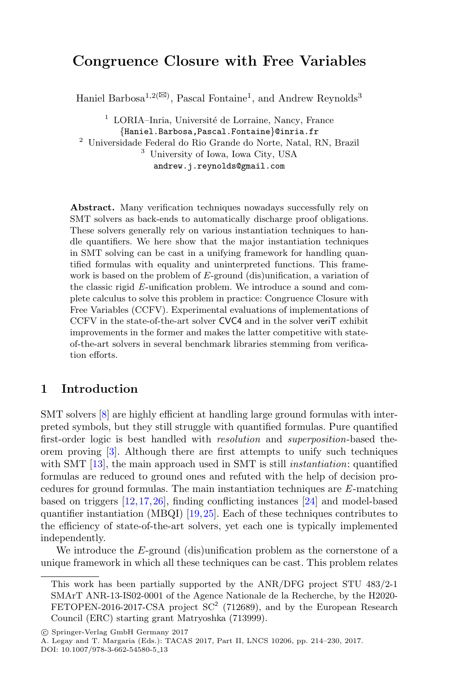# **Congruence Closure with Free Variables**

Haniel Barbosa<sup>1,2( $\boxtimes$ )</sup>, Pascal Fontaine<sup>1</sup>, and Andrew Reynolds<sup>3</sup>

 $1$  LORIA–Inria, Université de Lorraine, Nancy, France {Haniel.Barbosa,Pascal.Fontaine}@inria.fr <sup>2</sup> Universidade Federal do Rio Grande do Norte, Natal, RN, Brazil <sup>3</sup> University of Iowa, Iowa City, USA andrew.j.reynolds@gmail.com

**Abstract.** Many verification techniques nowadays successfully rely on SMT solvers as back-ends to automatically discharge proof obligations. These solvers generally rely on various instantiation techniques to handle quantifiers. We here show that the major instantiation techniques in SMT solving can be cast in a unifying framework for handling quantified formulas with equality and uninterpreted functions. This framework is based on the problem of E-ground (dis)unification, a variation of the classic rigid *E*-unification problem. We introduce a sound and complete calculus to solve this problem in practice: Congruence Closure with Free Variables (CCFV). Experimental evaluations of implementations of CCFV in the state-of-the-art solver CVC4 and in the solver veriT exhibit improvements in the former and makes the latter competitive with stateof-the-art solvers in several benchmark libraries stemming from verification efforts.

### **1 Introduction**

SMT solvers [\[8](#page-15-0)] are highly efficient at handling large ground formulas with interpreted symbols, but they still struggle with quantified formulas. Pure quantified first-order logic is best handled with *resolution* and *superposition*-based theorem proving [\[3\]](#page-14-0). Although there are first attempts to unify such techniques with SMT [\[13\]](#page-15-1), the main approach used in SMT is still *instantiation*: quantified formulas are reduced to ground ones and refuted with the help of decision procedures for ground formulas. The main instantiation techniques are *E*-matching based on triggers [\[12,](#page-15-2)[17](#page-15-3)[,26](#page-16-0)], finding conflicting instances [\[24](#page-16-1)] and model-based quantifier instantiation (MBQI) [\[19](#page-15-4),[25\]](#page-16-2). Each of these techniques contributes to the efficiency of state-of-the-art solvers, yet each one is typically implemented independently.

We introduce the E-ground (dis)unification problem as the cornerstone of a unique framework in which all these techniques can be cast. This problem relates

-c Springer-Verlag GmbH Germany 2017

A. Legay and T. Margaria (Eds.): TACAS 2017, Part II, LNCS 10206, pp. 214–230, 2017.

DOI: 10.1007/978-3-662-54580-5 13

This work has been partially supported by the ANR/DFG project STU 483/2-1 SMArT ANR-13-IS02-0001 of the Agence Nationale de la Recherche, by the H2020- FETOPEN-2016-2017-CSA project  $SC^2$  (712689), and by the European Research Council (ERC) starting grant Matryoshka (713999).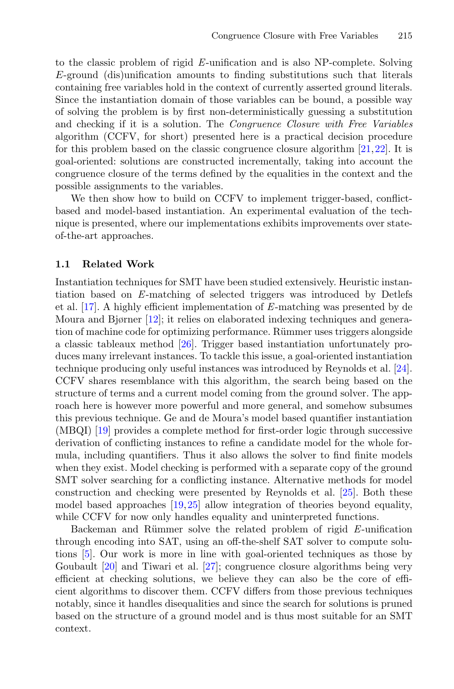to the classic problem of rigid *E*-unification and is also NP-complete. Solving E-ground (dis)unification amounts to finding substitutions such that literals containing free variables hold in the context of currently asserted ground literals. Since the instantiation domain of those variables can be bound, a possible way of solving the problem is by first non-deterministically guessing a substitution and checking if it is a solution. The *Congruence Closure with Free Variables* algorithm (CCFV, for short) presented here is a practical decision procedure for this problem based on the classic congruence closure algorithm [\[21](#page-15-5)[,22](#page-16-3)]. It is goal-oriented: solutions are constructed incrementally, taking into account the congruence closure of the terms defined by the equalities in the context and the possible assignments to the variables.

We then show how to build on CCFV to implement trigger-based, conflictbased and model-based instantiation. An experimental evaluation of the technique is presented, where our implementations exhibits improvements over stateof-the-art approaches.

#### **1.1 Related Work**

Instantiation techniques for SMT have been studied extensively. Heuristic instantiation based on *E*-matching of selected triggers was introduced by Detlefs et al. [\[17](#page-15-3)]. A highly efficient implementation of *E*-matching was presented by de Moura and Bjørner [\[12](#page-15-2)]; it relies on elaborated indexing techniques and generation of machine code for optimizing performance. Rümmer uses triggers alongside a classic tableaux method [\[26](#page-16-0)]. Trigger based instantiation unfortunately produces many irrelevant instances. To tackle this issue, a goal-oriented instantiation technique producing only useful instances was introduced by Reynolds et al. [\[24\]](#page-16-1). CCFV shares resemblance with this algorithm, the search being based on the structure of terms and a current model coming from the ground solver. The approach here is however more powerful and more general, and somehow subsumes this previous technique. Ge and de Moura's model based quantifier instantiation (MBQI) [\[19\]](#page-15-4) provides a complete method for first-order logic through successive derivation of conflicting instances to refine a candidate model for the whole formula, including quantifiers. Thus it also allows the solver to find finite models when they exist. Model checking is performed with a separate copy of the ground SMT solver searching for a conflicting instance. Alternative methods for model construction and checking were presented by Reynolds et al. [\[25\]](#page-16-2). Both these model based approaches [\[19,](#page-15-4)[25\]](#page-16-2) allow integration of theories beyond equality, while CCFV for now only handles equality and uninterpreted functions.

Backeman and Rümmer solve the related problem of rigid E-unification through encoding into SAT, using an off-the-shelf SAT solver to compute solutions [\[5\]](#page-15-6). Our work is more in line with goal-oriented techniques as those by Goubault [\[20](#page-15-7)] and Tiwari et al. [\[27\]](#page-16-4); congruence closure algorithms being very efficient at checking solutions, we believe they can also be the core of efficient algorithms to discover them. CCFV differs from those previous techniques notably, since it handles disequalities and since the search for solutions is pruned based on the structure of a ground model and is thus most suitable for an SMT context.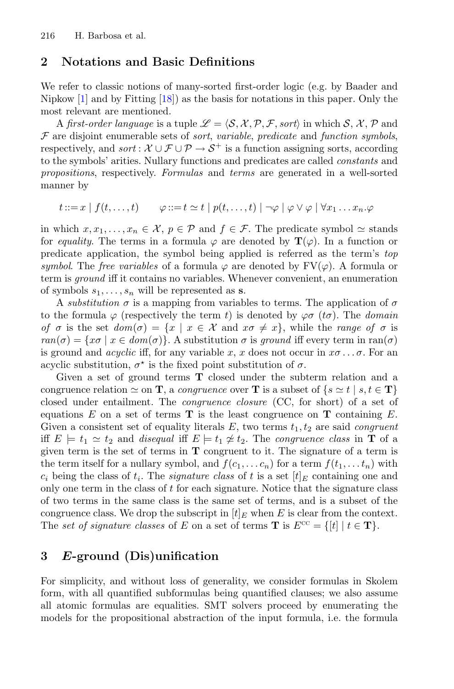#### **2 Notations and Basic Definitions**

We refer to classic notions of many-sorted first-order logic (e.g. by Baader and Nipkow [\[1\]](#page-14-1) and by Fitting [\[18\]](#page-15-8)) as the basis for notations in this paper. Only the most relevant are mentioned.

A *first-order language* is a tuple  $\mathscr{L} = \langle \mathcal{S}, \mathcal{X}, \mathcal{P}, \mathcal{F}, \text{sort} \rangle$  in which  $\mathcal{S}, \mathcal{X}, \mathcal{P}$  and F are disjoint enumerable sets of *sort*, *variable*, *predicate* and *function symbols*, respectively, and *sort* :  $\mathcal{X} \cup \mathcal{F} \cup \mathcal{P} \rightarrow \mathcal{S}^+$  is a function assigning sorts, according to the symbols' arities. Nullary functions and predicates are called *constants* and *propositions*, respectively. *Formulas* and *terms* are generated in a well-sorted manner by

$$
t ::= x \mid f(t, \ldots, t) \qquad \varphi ::= t \simeq t \mid p(t, \ldots, t) \mid \neg \varphi \mid \varphi \vee \varphi \mid \forall x_1 \ldots x_n. \varphi
$$

in which  $x, x_1,...,x_n \in \mathcal{X}, p \in \mathcal{P}$  and  $f \in \mathcal{F}$ . The predicate symbol  $\simeq$  stands for *equality*. The terms in a formula  $\varphi$  are denoted by  $\mathbf{T}(\varphi)$ . In a function or predicate application, the symbol being applied is referred as the term's *top symbol.* The *free variables* of a formula  $\varphi$  are denoted by  $\text{FV}(\varphi)$ . A formula or term is *ground* iff it contains no variables. Whenever convenient, an enumeration of symbols  $s_1, \ldots, s_n$  will be represented as **s**.

A *substitution*  $\sigma$  is a mapping from variables to terms. The application of  $\sigma$ to the formula  $\varphi$  (respectively the term t) is denoted by  $\varphi\sigma$  (t $\sigma$ ). The *domain of*  $\sigma$  is the set  $dom(\sigma) = \{x \mid x \in \mathcal{X} \text{ and } x\sigma \neq x\}$ , while the *range* of  $\sigma$  is  $ran(\sigma) = \{x\sigma \mid x \in dom(\sigma)\}\.$  A substitution  $\sigma$  is *ground* iff every term in ran( $\sigma$ ) is ground and *acyclic* iff, for any variable x, x does not occur in  $x\sigma \ldots \sigma$ . For an acyclic substitution,  $\sigma^*$  is the fixed point substitution of  $\sigma$ .

Given a set of ground terms **T** closed under the subterm relation and a congruence relation  $\simeq$  on **T**, a *congruence* over **T** is a subset of  $\{s \simeq t \mid s, t \in \mathbf{T}\}\$ closed under entailment. The *congruence closure* (CC, for short) of a set of equations  $E$  on a set of terms  $\mathbf{T}$  is the least congruence on  $\mathbf{T}$  containing  $E$ . Given a consistent set of equality literals  $E$ , two terms  $t_1, t_2$  are said *congruent* iff  $E \models t_1 \simeq t_2$  and *disequal* iff  $E \models t_1 \not\cong t_2$ . The *congruence class* in **T** of a given term is the set of terms in **T** congruent to it. The signature of a term is the term itself for a nullary symbol, and  $f(c_1,...c_n)$  for a term  $f(t_1,...t_n)$  with  $c_i$  being the class of  $t_i$ . The *signature class* of t is a set  $[t]_E$  containing one and only one term in the class of t for each signature. Notice that the signature class of two terms in the same class is the same set of terms, and is a subset of the congruence class. We drop the subscript in  $[t]_E$  when E is clear from the context. The *set of signature classes* of E on a set of terms **T** is  $E^{cc} = \{[t] | t \in \mathbf{T}\}.$ 

## **3** *E***-ground (Dis)unification**

For simplicity, and without loss of generality, we consider formulas in Skolem form, with all quantified subformulas being quantified clauses; we also assume all atomic formulas are equalities. SMT solvers proceed by enumerating the models for the propositional abstraction of the input formula, i.e. the formula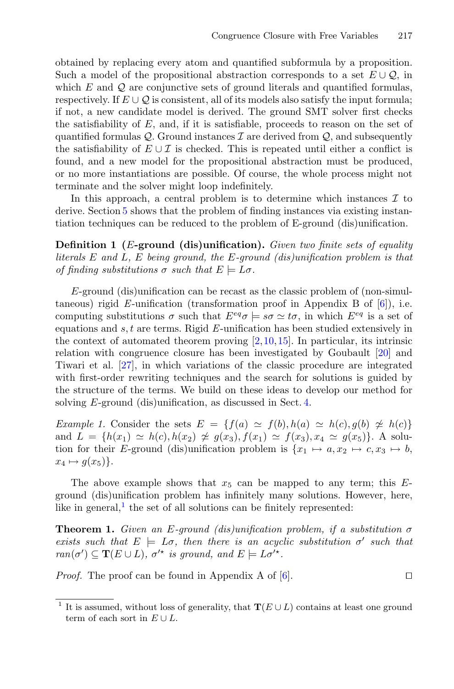obtained by replacing every atom and quantified subformula by a proposition. Such a model of the propositional abstraction corresponds to a set  $E \cup \mathcal{Q}$ , in which  $E$  and  $Q$  are conjunctive sets of ground literals and quantified formulas, respectively. If  $E \cup Q$  is consistent, all of its models also satisfy the input formula; if not, a new candidate model is derived. The ground SMT solver first checks the satisfiability of  $E$ , and, if it is satisfiable, proceeds to reason on the set of quantified formulas  $\mathcal{Q}$ . Ground instances  $\mathcal{I}$  are derived from  $\mathcal{Q}$ , and subsequently the satisfiability of  $E \cup \mathcal{I}$  is checked. This is repeated until either a conflict is found, and a new model for the propositional abstraction must be produced, or no more instantiations are possible. Of course, the whole process might not terminate and the solver might loop indefinitely.

In this approach, a central problem is to determine which instances  $\mathcal I$  to derive. Section [5](#page-9-0) shows that the problem of finding instances via existing instantiation techniques can be reduced to the problem of E-ground (dis)unification.

**Definition 1 (**E**-ground (dis)unification).** *Given two finite sets of equality literals* E *and* L*,* E *being ground, the* E*-ground (dis)unification problem is that of finding substitutions*  $\sigma$  *such that*  $E \models L\sigma$ .

E-ground (dis)unification can be recast as the classic problem of (non-simultaneous) rigid *E*-unification (transformation proof in Appendix B of [\[6\]](#page-15-9)), i.e. computing substitutions  $\sigma$  such that  $E^{eq}\sigma \models s\sigma \simeq t\sigma$ , in which  $E^{eq}$  is a set of equations and s, t are terms. Rigid *E*-unification has been studied extensively in the context of automated theorem proving  $[2,10,15]$  $[2,10,15]$  $[2,10,15]$  $[2,10,15]$ . In particular, its intrinsic relation with congruence closure has been investigated by Goubault [\[20](#page-15-7)] and Tiwari et al. [\[27](#page-16-4)], in which variations of the classic procedure are integrated with first-order rewriting techniques and the search for solutions is guided by the structure of the terms. We build on these ideas to develop our method for solving E-ground (dis)unification, as discussed in Sect. [4.](#page-4-0)

<span id="page-3-1"></span>*Example 1.* Consider the sets  $E = \{f(a) \simeq f(b), h(a) \simeq h(c), g(b) \not\simeq h(c)\}$ and  $L = \{h(x_1) \simeq h(c), h(x_2) \not\simeq g(x_3), f(x_1) \simeq f(x_3), x_4 \simeq g(x_5)\}.$  A solution for their E-ground (dis)unification problem is  $\{x_1 \mapsto a, x_2 \mapsto c, x_3 \mapsto b,$  $x_4 \mapsto g(x_5)$ .

The above example shows that  $x_5$  can be mapped to any term; this  $E$ ground (dis)unification problem has infinitely many solutions. However, here, like in general, $<sup>1</sup>$  $<sup>1</sup>$  $<sup>1</sup>$  the set of all solutions can be finitely represented:</sup>

<span id="page-3-2"></span>**Theorem 1.** *Given an* E*-ground (dis)unification problem, if a substitution* σ *exists such that*  $E \models L\sigma$ , then there is an acyclic substitution  $\sigma'$  such that  $ran(\sigma') \subseteq \mathbf{T}(E \cup L)$ *,*  $\sigma'^\star$  *is ground, and*  $E \models L\sigma'^\star$ *.* 

*Proof.* The proof can be found in Appendix A of  $[6]$  $[6]$ .

<span id="page-3-0"></span><sup>&</sup>lt;sup>1</sup> It is assumed, without loss of generality, that **T**( $E \cup L$ ) contains at least one ground term of each sort in  $E \cup L$ .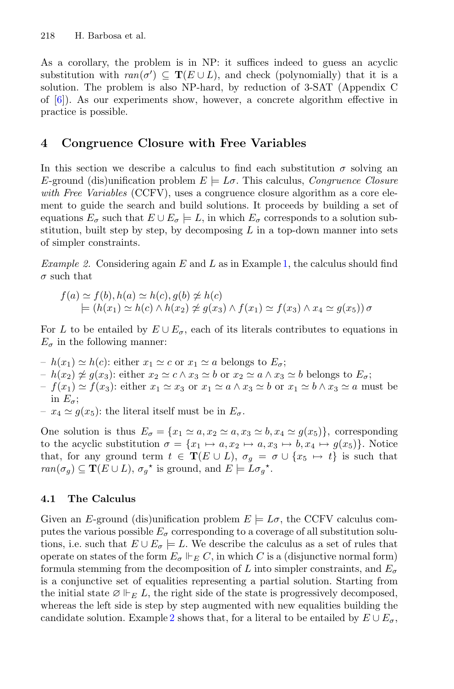As a corollary, the problem is in NP: it suffices indeed to guess an acyclic substitution with  $ran(\sigma') \subseteq T(E \cup L)$ , and check (polynomially) that it is a solution. The problem is also NP-hard, by reduction of 3-SAT (Appendix C of [\[6](#page-15-9)]). As our experiments show, however, a concrete algorithm effective in practice is possible.

## <span id="page-4-0"></span>**4 Congruence Closure with Free Variables**

In this section we describe a calculus to find each substitution  $\sigma$  solving an E-ground (dis)unification problem  $E \models L\sigma$ . This calculus, *Congruence Closure with Free Variables* (CCFV), uses a congruence closure algorithm as a core element to guide the search and build solutions. It proceeds by building a set of equations  $E_{\sigma}$  such that  $E \cup E_{\sigma} \models L$ , in which  $E_{\sigma}$  corresponds to a solution substitution, built step by step, by decomposing  $L$  in a top-down manner into sets of simpler constraints.

<span id="page-4-1"></span>*Example 2.* Considering again E and L as in Example [1,](#page-3-1) the calculus should find  $\sigma$  such that

$$
f(a) \simeq f(b), h(a) \simeq h(c), g(b) \ncong h(c)
$$
  
\n
$$
\models (h(x_1) \simeq h(c) \land h(x_2) \ncong g(x_3) \land f(x_1) \simeq f(x_3) \land x_4 \simeq g(x_5)) \sigma
$$

For L to be entailed by  $E \cup E_{\sigma}$ , each of its literals contributes to equations in  $E_{\sigma}$  in the following manner:

- $h(x_1) \simeq h(c)$ : either  $x_1 \simeq c$  or  $x_1 \simeq a$  belongs to  $E_{\sigma}$ ;
- $-h(x_2) \not\cong g(x_3):$  either  $x_2 \simeq c \wedge x_3 \simeq b$  or  $x_2 \simeq a \wedge x_3 \simeq b$  belongs to  $E_{\sigma}$ ;<br> $f(x_1) \circ f(x_2)$  either  $x_1 \circ x_2 \circ x_3 \circ f(x_1) \circ f(x_2)$  and  $h(x_1) \circ f(x_2) \circ f(x_3)$
- $f(x_1) \simeq f(x_3)$ : either  $x_1 \simeq x_3$  or  $x_1 \simeq a \wedge x_3 \simeq b$  or  $x_1 \simeq b \wedge x_3 \simeq a$  must be in  $E_{\sigma}$ ;
- $-x_4 \simeq g(x_5)$ : the literal itself must be in  $E_{\sigma}$ .

One solution is thus  $E_{\sigma} = \{x_1 \simeq a, x_2 \simeq a, x_3 \simeq b, x_4 \simeq g(x_5)\}\,$  corresponding to the acyclic substitution  $\sigma = \{x_1 \mapsto a, x_2 \mapsto a, x_3 \mapsto b, x_4 \mapsto g(x_5)\}\.$  Notice that, for any ground term  $t \in \mathbf{T}(E \cup L)$ ,  $\sigma_g = \sigma \cup \{x_5 \mapsto t\}$  is such that  $ran(\sigma_g) \subseteq \mathbf{T}(E \cup L), \sigma_g^*$  is ground, and  $E \models L\sigma_g^*$ .

### **4.1 The Calculus**

Given an E-ground (dis)unification problem  $E \models L\sigma$ , the CCFV calculus computes the various possible  $E_{\sigma}$  corresponding to a coverage of all substitution solutions, i.e. such that  $E \cup E_{\sigma} = L$ . We describe the calculus as a set of rules that operate on states of the form  $E_{\sigma} \Vdash_{E} C$ , in which C is a (disjunctive normal form)<br>formula stamming from the decomposition of L inte simpler constraints, and E formula stemming from the decomposition of L into simpler constraints, and  $E_{\sigma}$ is a conjunctive set of equalities representing a partial solution. Starting from the initial state  $\emptyset \Vdash_E L$ , the right side of the state is progressively decomposed, whereas the left side is step by step augmented with new equalities building the candidate solution. Example [2](#page-4-1) shows that, for a literal to be entailed by  $E \cup E_{\sigma}$ ,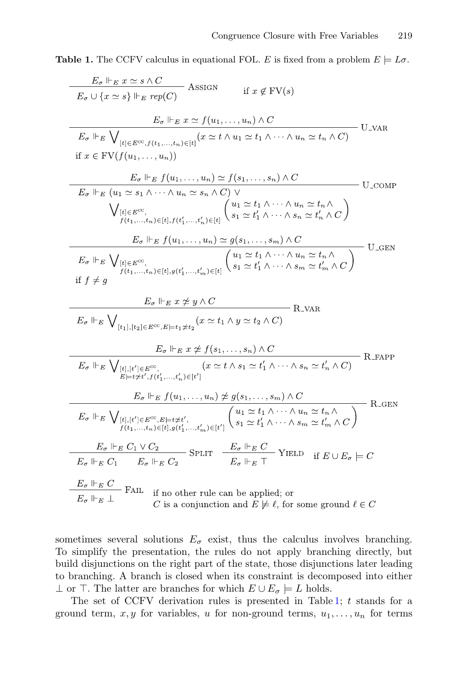<span id="page-5-0"></span>**Table 1.** The CCFV calculus in equational FOL. E is fixed from a problem  $E \models L\sigma$ .

$$
\frac{E_{\sigma} \Vdash_{E} x \simeq s \wedge C}{E_{\sigma} \cup \{x \simeq s\} \Vdash_{E} rep(C)} \quad \text{ASSIGN} \quad \text{if } x \notin \text{FV}(s)
$$
\n
$$
\frac{E_{\sigma} \Vdash_{E} \bigvee_{[e] \in E^{\text{CC}}, f(t_1, \ldots, t_n) \in [t]} (x \simeq t \wedge u_1 \simeq t_1 \wedge \cdots \wedge u_n \simeq t_n \wedge C)}{\text{If } x \in \text{FV}(f(u_1, \ldots, u_n))}
$$
\n
$$
\frac{E_{\sigma} \Vdash_{E} f(u_1, \ldots, u_n) \simeq f(s_1, \ldots, s_n) \wedge C}{E_{\sigma} \Vdash_{E} (u_1 \simeq s_1 \wedge \cdots \wedge u_n \simeq s_n \wedge C) \vee \bigvee_{\substack{[t] \in E^{\text{CC}}, \\ f(t_1, \ldots, t_n) \in [t], f(t'_1, \ldots, t'_n) \in [t]} } \left(u_1 \simeq t_1 \wedge \cdots \wedge u_n \simeq t'_n \wedge C\right)}
$$
\n
$$
E_{\sigma} \Vdash_{E} f(u_1, \ldots, u_n) \simeq g(s_1, \ldots, s_m) \wedge C
$$
\n
$$
E_{\sigma} \Vdash_{E} \bigvee_{\substack{[t] \in E^{\text{CC}}, \\ f(t_1, \ldots, t_n) \in [t], g(t'_1, \ldots, t'_n) \in [t]} } \left(u_1 \simeq t_1 \wedge \cdots \wedge u_n \simeq t'_n \wedge C\right)
$$
\n
$$
\text{if } f \neq g
$$
\n
$$
E_{\sigma} \Vdash_{E} \bigvee_{\substack{[t] \in E^{\text{CC}}, \\ f(t_1, \ldots, t_n) \in [t], g(t'_1, \ldots, t'_n) \in [t]} } \left(u_1 \simeq t_1 \wedge \cdots \wedge u_n \simeq t'_n \wedge C\right)
$$
\n
$$
\text{if } f \neq g
$$
\n
$$
E_{\sigma} \Vdash_{E} \bigvee_{\substack{[t] \in E^{\text{CC
$$

sometimes several solutions  $E_{\sigma}$  exist, thus the calculus involves branching. To simplify the presentation, the rules do not apply branching directly, but build disjunctions on the right part of the state, those disjunctions later leading to branching. A branch is closed when its constraint is decomposed into either  $\perp$  or  $\top$ . The latter are branches for which  $E \cup E_{\sigma} \models L$  holds.

The set of CCFV derivation rules is presented in Table [1;](#page-5-0)  $t$  stands for a ground term, x, y for variables, u for non-ground terms,  $u_1, \ldots, u_n$  for terms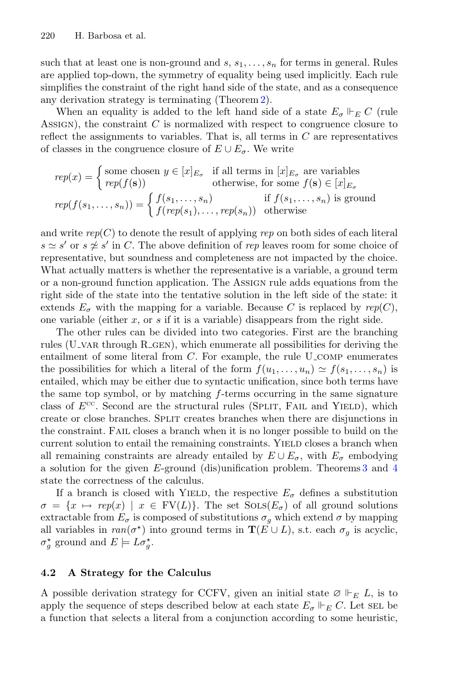such that at least one is non-ground and  $s, s_1, \ldots, s_n$  for terms in general. Rules are applied top-down, the symmetry of equality being used implicitly. Each rule simplifies the constraint of the right hand side of the state, and as a consequence any derivation strategy is terminating (Theorem [2\)](#page-8-0).

When an equality is added to the left hand side of a state  $E_{\sigma} \Vdash_{E} C$  (rule<br>TOM) the constraint C is normalized with respect to constraine along to ASSIGN), the constraint  $C$  is normalized with respect to congruence closure to reflect the assignments to variables. That is, all terms in  $C$  are representatives of classes in the congruence closure of  $E \cup E_{\sigma}$ . We write

$$
rep(x) = \begin{cases} \text{some chosen } y \in [x]_{E_{\sigma}} & \text{if all terms in } [x]_{E_{\sigma}} \text{ are variables} \\ rep(f(\mathbf{s})) & \text{otherwise, for some } f(\mathbf{s}) \in [x]_{E_{\sigma}} \\ rep(f(s_1, \ldots, s_n)) = \begin{cases} f(s_1, \ldots, s_n) & \text{if } f(s_1, \ldots, s_n) \text{ is ground} \\ f(rep(s_1), \ldots, rep(s_n)) & \text{otherwise} \end{cases}
$$

and write  $rep(C)$  to denote the result of applying  $rep$  on both sides of each literal  $s \simeq s'$  or  $s \not\cong s'$  in C. The above definition of *rep* leaves room for some choice of representative, but soundness and completeness are not impacted by the choice. What actually matters is whether the representative is a variable, a ground term or a non-ground function application. The Assign rule adds equations from the right side of the state into the tentative solution in the left side of the state: it extends  $E_{\sigma}$  with the mapping for a variable. Because C is replaced by  $rep(C)$ , one variable (either  $x$ , or  $s$  if it is a variable) disappears from the right side.

The other rules can be divided into two categories. First are the branching rules (U\_VAR through R\_GEN), which enumerate all possibilities for deriving the entailment of some literal from  $C$ . For example, the rule  $U_{\text{COMP}}$  enumerates the possibilities for which a literal of the form  $f(u_1,\ldots,u_n) \simeq f(s_1,\ldots,s_n)$  is entailed, which may be either due to syntactic unification, since both terms have the same top symbol, or by matching f-terms occurring in the same signature class of  $E^{\text{cc}}$ . Second are the structural rules (SPLIT, FAIL and YIELD), which create or close branches. Split creates branches when there are disjunctions in the constraint. Fail closes a branch when it is no longer possible to build on the current solution to entail the remaining constraints. YIELD closes a branch when all remaining constraints are already entailed by  $E \cup E_{\sigma}$ , with  $E_{\sigma}$  embodying a solution for the given E-ground (dis)unification problem. Theorems [3](#page-8-1) and [4](#page-8-2) state the correctness of the calculus.

If a branch is closed with YIELD, the respective  $E_{\sigma}$  defines a substitution  $\sigma = \{x \mapsto rep(x) \mid x \in FV(L)\}.$  The set  $Sois(E_{\sigma})$  of all ground solutions extractable from  $E_{\sigma}$  is composed of substitutions  $\sigma_{g}$  which extend  $\sigma$  by mapping all variables in  $ran(\sigma^*)$  into ground terms in **T**( $E \cup L$ ), s.t. each  $\sigma_g$  is acyclic,  $\sigma_g^*$  ground and  $E \models L \sigma_g^*$ .

#### **4.2 A Strategy for the Calculus**

A possible derivation strategy for CCFV, given an initial state  $\varnothing \Vdash_E L$ , is to apply the sequence of steps described below at each state  $E_{\sigma}$   $\Vdash_{E} C$ . Let sell be a function that selecte a literal from a conjunction according to some houristic a function that selects a literal from a conjunction according to some heuristic,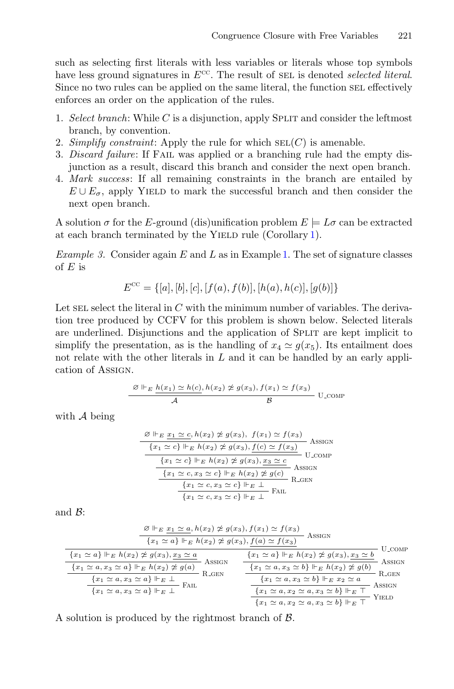such as selecting first literals with less variables or literals whose top symbols have less ground signatures in  $E^{CC}$ . The result of SEL is denoted *selected literal*. Since no two rules can be applied on the same literal, the function SEL effectively enforces an order on the application of the rules.

- 1. *Select branch*: While C is a disjunction, apply SPLIT and consider the leftmost branch, by convention.
- 2. *Simplify constraint:* Apply the rule for which  $SEL(C)$  is amenable.
- 3. *Discard failure*: If Fail was applied or a branching rule had the empty disjunction as a result, discard this branch and consider the next open branch.
- 4. *Mark success*: If all remaining constraints in the branch are entailed by  $E \cup E_{\sigma}$ , apply YIELD to mark the successful branch and then consider the next open branch.

A solution  $\sigma$  for the E-ground (dis)unification problem  $E \models L\sigma$  can be extracted at each branch terminated by the YIELD rule (Corollary [1\)](#page-8-3).

*Example 3.* Consider again E and L as in Example [1.](#page-3-1) The set of signature classes of  $E$  is

$$
E^{cc} = \{ [a], [b], [c], [f(a), f(b)], [h(a), h(c)], [g(b)] \}
$$

Let select the literal in  $C$  with the minimum number of variables. The derivation tree produced by CCFV for this problem is shown below. Selected literals are underlined. Disjunctions and the application of SPLIT are kept implicit to simplify the presentation, as is the handling of  $x_4 \simeq q(x_5)$ . Its entailment does not relate with the other literals in  $L$  and it can be handled by an early application of Assign.

$$
\frac{\varnothing \Vdash_E \underline{h(x_1) \simeq h(c), h(x_2) \not\cong g(x_3), f(x_1) \simeq f(x_3)}{\varnothing} \text{ U\_COMP}
$$

with A being

$$
\frac{\mathcal{B} \Vdash_E x_1 \simeq c, h(x_2) \not\cong g(x_3), f(x_1) \simeq f(x_3)}{\{x_1 \simeq c\} \Vdash_E h(x_2) \not\cong g(x_3), \underline{f(c) \simeq f(x_3)} \text{ASSIGN}
$$
\n
$$
\frac{\{x_1 \simeq c\} \Vdash_E h(x_2) \not\cong g(x_3), \underline{x_3 \simeq c} \text{U-COMP}}{\{x_1 \simeq c, x_3 \simeq c\} \Vdash_E h(x_2) \not\cong g(c)} \text{ASSIGN}
$$
\n
$$
\frac{\{x_1 \simeq c, x_3 \simeq c\} \Vdash_E \bot}{\{x_1 \simeq c, x_3 \simeq c\} \Vdash_E \bot} \text{FAIL}
$$

and B:

$$
\frac{\mathcal{Q} \Vdash_E x_1 \simeq a, h(x_2) \not\cong g(x_3), f(x_1) \simeq f(x_3)}{\{x_1 \simeq a\} \Vdash_E h(x_2) \not\cong g(x_3), \underbrace{f(a) \simeq f(x_3)}_{\{x_1 \simeq a\} \Vdash_E h(x_2) \not\cong g(x_3), \underbrace{x_3 \simeq a}_{\{x_1 \simeq a\}} \text{AssicsN}
$$
\n
$$
\frac{\{x_1 \simeq a\} \Vdash_E h(x_2) \not\cong g(x_3), x_3 \simeq a}{\{x_1 \simeq a, x_3 \simeq a\} \Vdash_E h(x_2) \not\cong g(a)} \text{AssicsN}
$$
\n
$$
\frac{\{x_1 \simeq a\} \Vdash_E h(x_2) \not\cong g(a)}{\{x_1 \simeq a, x_3 \simeq b\} \Vdash_E h(x_2) \not\cong g(b)} \text{AssicsN}
$$
\n
$$
\frac{\{x_1 \simeq a, x_3 \simeq b\} \Vdash_E h(x_2) \not\cong g(b)}{\{x_1 \simeq a, x_2 \simeq a, x_3 \simeq b\} \Vdash_E \top} \text{AssicsN}
$$
\n
$$
\frac{\{x_1 \simeq a, x_3 \simeq b\} \Vdash_E x_2 \simeq a}{\{x_1 \simeq a, x_2 \simeq a, x_3 \simeq b\} \Vdash_E \top} \text{AssicsN}
$$
\n
$$
\frac{\{x_1 \simeq a, x_3 \simeq b\} \Vdash_E \top}{\{x_1 \simeq a, x_2 \simeq a, x_3 \simeq b\} \Vdash_E \top} \text{YIELD}
$$

A solution is produced by the rightmost branch of B.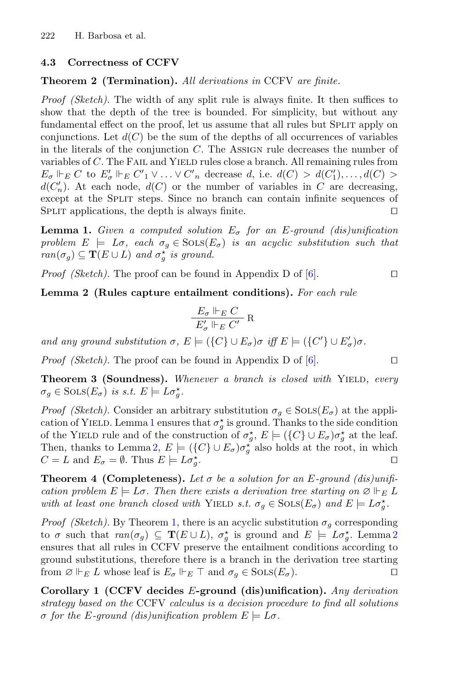#### <span id="page-8-0"></span>**4.3 Correctness of CCFV**

#### **Theorem 2 (Termination).** *All derivations in* CCFV *are finite.*

*Proof (Sketch).* The width of any split rule is always finite. It then suffices to show that the depth of the tree is bounded. For simplicity, but without any fundamental effect on the proof, let us assume that all rules but Split apply on conjunctions. Let  $d(C)$  be the sum of the depths of all occurrences of variables in the literals of the conjunction  $C$ . The Assign rule decreases the number of variables of  $C$ . The FAIL and YIELD rules close a branch. All remaining rules from  $E_{\sigma}$   $\Vdash_E C$  to  $E'_{\sigma}$   $\Vdash_E C'$   $\vee \ldots \vee C'_{n}$  decrease d, i.e.  $d(C) > d(C'_1), \ldots, d(C) > d(C')$ . At each node  $d(C)$  or the number of variables in C are decreasing  $d(C'_n)$ . At each node,  $d(C)$  or the number of variables in C are decreasing,<br>except at the SPLIT steps. Since no branch can contain infinite sequences of except at the SPLIT steps. Since no branch can contain infinite sequences of SPLIT applications, the depth is always finite.  $\Box$ 

<span id="page-8-4"></span>**Lemma 1.** *Given a computed solution*  $E_{\sigma}$  *for an E-ground (dis)unification problem*  $E \models L\sigma$ , each  $\sigma_q \in \text{SOLS}(E_{\sigma})$  *is an acyclic substitution such that*  $ran(\sigma_g) \subseteq \mathbf{T}(E \cup L)$  *and*  $\sigma_g^*$  *is ground.* 

*Proof (Sketch).* The proof can be found in Appendix D of [\[6](#page-15-9)].  $\Box$ 

<span id="page-8-5"></span>**Lemma 2 (Rules capture entailment conditions).** *For each rule*

$$
\frac{E_{\sigma} \Vdash_{E} C}{E'_{\sigma} \Vdash_{E} C'} \mathbf{R}
$$

*and any ground substitution*  $\sigma$ ,  $E \models (\lbrace C \rbrace \cup E_{\sigma}) \sigma$  *iff*  $E \models (\lbrace C' \rbrace \cup E_{\sigma}') \sigma$ .

*Proof (Sketch).* The proof can be found in Appendix D of [\[6](#page-15-9)]. □

<span id="page-8-1"></span>**Theorem 3 (Soundness).** *Whenever a branch is closed with* YIELD, every  $\sigma_g \in \text{SOLS}(E_{\sigma})$  *is s.t.*  $E \models L\sigma_g^*$ .

*Proof (Sketch).* Consider an arbitrary substitution  $\sigma_q \in \text{SOLS}(E_{\sigma})$  at the appli-cation of YIELD. Lemma [1](#page-8-4) ensures that  $\sigma_g^*$  is ground. Thanks to the side condition<br>of the YIELD rule and of the construction of  $\sigma^* \nightharpoonup F \vdash (fC\cup F) \sigma^*$  at the loof of the YIELD rule and of the construction of  $\sigma_g^*, E \models (\lbrace C \rbrace \cup E_{\sigma}) \sigma_g^*$  at the leaf.<br>Then, thenks to Lemma 2,  $E \models (fC) \cup F$  as also holds at the root in which Then, thanks to Lemma [2,](#page-8-5)  $E = (\{C\} \cup E_{\sigma})\sigma_{g}^{*}$  also holds at the root, in which  $C = L$  and  $E = \emptyset$ . Thus  $E = L\sigma^{*}$  $C = L$  and  $E_{\sigma} = \emptyset$ . Thus  $E \models L \sigma_{g}^*$  $\sum_{j=1}^{k}$ 

<span id="page-8-2"></span>**Theorem 4 (Completeness).** Let  $\sigma$  be a solution for an E-ground (dis)unifi*cation problem*  $E \models L\sigma$ . Then there exists a derivation tree starting on  $\emptyset \Vdash_E L$ <br>with at least and hence along with  $\mathbf{V}\text{IFD}$  at  $\tau \in \mathcal{E}$  SOL $(S, \mathbf{F})$  and  $\mathbf{F} \models L\tau^*$ *with at least one branch closed with* YIELD *s.t.*  $\sigma_g \in \text{SOLS}(E_\sigma)$  *and*  $E \models L\sigma_g^*$ .

*Proof (Sketch)*. By Theorem [1,](#page-3-2) there is an acyclic substitution  $\sigma_g$  corresponding to  $\sigma$  such that  $ran(\sigma_g) \subseteq \mathbf{T}(E \cup L)$ ,  $\sigma_g^*$  is ground and  $E \models L\sigma_g^*$ . Lemma [2](#page-8-5)<br>opsures that all rules in CCEV prosecute the optailment conditions according to ensures that all rules in CCFV preserve the entailment conditions according to ground substitutions, therefore there is a branch in the derivation tree starting from  $\emptyset \Vdash_E L$  whose leaf is  $E_{\sigma} \Vdash_E \top$  and  $\sigma_g \in \text{SOLS}(E_{\sigma})$ .

<span id="page-8-3"></span>**Corollary 1 (CCFV decides** E**-ground (dis)unification).** *Any derivation strategy based on the* CCFV *calculus is a decision procedure to find all solutions*  $\sigma$  for the E-ground (dis)unification problem  $E \models L\sigma$ .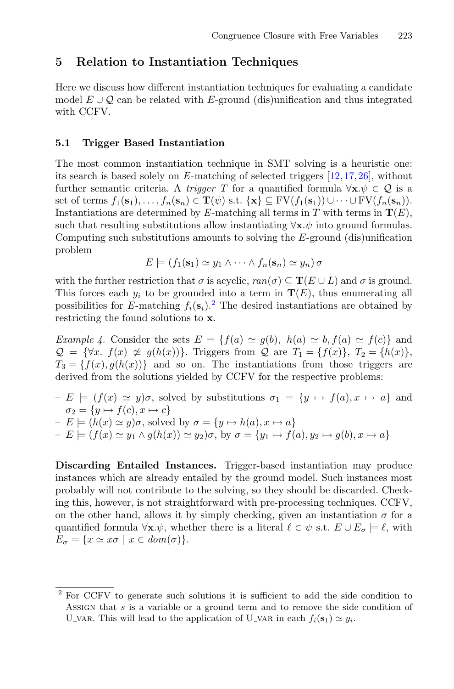#### <span id="page-9-0"></span>**5 Relation to Instantiation Techniques**

Here we discuss how different instantiation techniques for evaluating a candidate model  $E \cup Q$  can be related with E-ground (dis)unification and thus integrated with CCFV.

#### <span id="page-9-3"></span>**5.1 Trigger Based Instantiation**

The most common instantiation technique in SMT solving is a heuristic one: its search is based solely on *E*-matching of selected triggers [\[12](#page-15-2)[,17](#page-15-3),[26\]](#page-16-0), without further semantic criteria. A *trigger* T for a quantified formula  $\forall x.\psi \in \mathcal{Q}$  is a set of terms  $f_1(\mathbf{s}_1),\ldots,f_n(\mathbf{s}_n) \in \mathbf{T}(\psi)$  s.t.  $\{\mathbf{x}\}\subseteq \mathrm{FV}(f_1(\mathbf{s}_1))\cup\cdots\cup \mathrm{FV}(f_n(\mathbf{s}_n)).$ Instantiations are determined by *E*-matching all terms in *T* with terms in  $T(E)$ , such that resulting substitutions allow instantiating  $\forall x.\psi$  into ground formulas. Computing such substitutions amounts to solving the  $E$ -ground (dis)unification problem

$$
E \models (f_1(\mathbf{s}_1) \simeq y_1 \wedge \cdots \wedge f_n(\mathbf{s}_n) \simeq y_n) \sigma
$$

with the further restriction that  $\sigma$  is acyclic,  $ran(\sigma) \subseteq T(E \cup L)$  and  $\sigma$  is ground. This forces each  $y_i$  to be grounded into a term in  $\mathbf{T}(E)$ , thus enumerating all possibilities for *E*-matching  $f_i(\mathbf{s}_i)$ .<sup>[2](#page-9-1)</sup> The desired instantiations are obtained by restricting the found solutions to **x**.

<span id="page-9-2"></span>*Example 4.* Consider the sets  $E = \{f(a) \simeq g(b), h(a) \simeq b, f(a) \simeq f(c)\}\$ and  $Q = \{\forall x \, f(x) \neq g(h(x))\}.$  Triggers from  $Q$  are  $T_1 = \{f(x)\}, T_2 = \{h(x)\},$  $T_3 = \{f(x), g(h(x))\}$  and so on. The instantiations from those triggers are derived from the solutions yielded by CCFV for the respective problems:

 $-E \models (f(x) \simeq y)\sigma$ , solved by substitutions  $\sigma_1 = \{y \mapsto f(a), x \mapsto a\}$  and  $\sigma_2 = \{ y \mapsto f(c), x \mapsto c \}$  $-E \models (h(x) \simeq y)\sigma$ , solved by  $\sigma = \{y \mapsto h(a), x \mapsto a\}$  $-E \models (f(x) \simeq y_1 \land g(h(x)) \simeq y_2)\sigma$ , by  $\sigma = \{y_1 \mapsto f(a), y_2 \mapsto g(b), x \mapsto a\}$ 

**Discarding Entailed Instances.** Trigger-based instantiation may produce instances which are already entailed by the ground model. Such instances most probably will not contribute to the solving, so they should be discarded. Checking this, however, is not straightforward with pre-processing techniques. CCFV, on the other hand, allows it by simply checking, given an instantiation  $\sigma$  for a quantified formula  $\forall \mathbf{x}.\psi$ , whether there is a literal  $\ell \in \psi$  s.t.  $E \cup E_{\sigma} \models \ell$ , with  $E_{\sigma} = \{x \simeq x\sigma \mid x \in dom(\sigma)\}.$ 

<span id="page-9-1"></span><sup>2</sup> For CCFV to generate such solutions it is sufficient to add the side condition to <sup>A</sup>ssign that s is a variable or a ground term and to remove the side condition of U\_VAR. This will lead to the application of U\_VAR in each  $f_i(\mathbf{s}_1) \simeq y_i$ .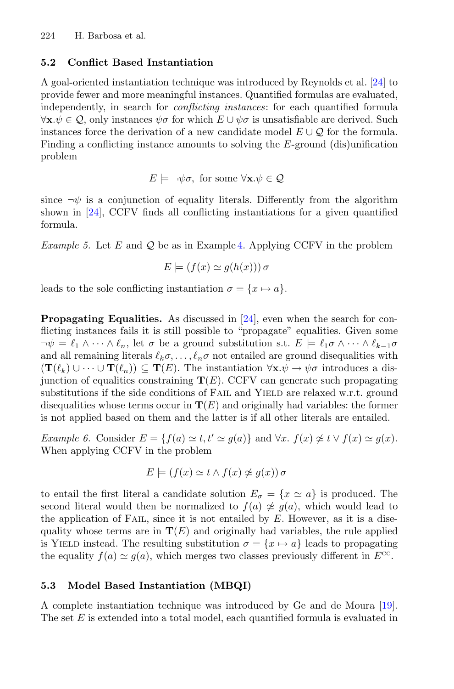### **5.2 Conflict Based Instantiation**

A goal-oriented instantiation technique was introduced by Reynolds et al. [\[24\]](#page-16-1) to provide fewer and more meaningful instances. Quantified formulas are evaluated, independently, in search for *conflicting instances*: for each quantified formula  $\forall$ **x**. $ψ ∈ Q$ , only instances  $ψσ$  for which  $E ∪ ψσ$  is unsatisfiable are derived. Such instances force the derivation of a new candidate model  $E \cup \mathcal{Q}$  for the formula. Finding a conflicting instance amounts to solving the E-ground (dis)unification problem

$$
E \models \neg \psi \sigma, \text{ for some } \forall \mathbf{x}.\psi \in \mathcal{Q}
$$

since  $\neg \psi$  is a conjunction of equality literals. Differently from the algorithm shown in [\[24\]](#page-16-1), CCFV finds all conflicting instantiations for a given quantified formula.

*Example 5.* Let  $E$  and  $Q$  be as in Example [4.](#page-9-2) Applying CCFV in the problem

$$
E \models (f(x) \simeq g(h(x))) \sigma
$$

leads to the sole conflicting instantiation  $\sigma = \{x \mapsto a\}.$ 

**Propagating Equalities.** As discussed in [\[24](#page-16-1)], even when the search for conflicting instances fails it is still possible to "propagate" equalities. Given some  $\neg \psi = \ell_1 \wedge \cdots \wedge \ell_n$ , let  $\sigma$  be a ground substitution s.t.  $E \models \ell_1 \sigma \wedge \cdots \wedge \ell_{k-1} \sigma$ and all remaining literals  $\ell_k \sigma, \ldots, \ell_n \sigma$  not entailed are ground disequalities with  $({\bf T}(\ell_k) \cup \cdots \cup {\bf T}(\ell_n)) \subseteq {\bf T}(E)$ . The instantiation  $\forall {\bf x}. \psi \to \psi \sigma$  introduces a disjunction of equalities constraining  $T(E)$ . CCFV can generate such propagating substitutions if the side conditions of FAIL and YIELD are relaxed w.r.t. ground disequalities whose terms occur in  $T(E)$  and originally had variables: the former is not applied based on them and the latter is if all other literals are entailed.

*Example 6.* Consider  $E = \{f(a) \simeq t, t' \simeq g(a)\}\$ and  $\forall x.$   $f(x) \not\approx t \vee f(x) \simeq g(x)$ . When applying CCFV in the problem

$$
E \models (f(x) \simeq t \land f(x) \ncong g(x)) \sigma
$$

to entail the first literal a candidate solution  $E_{\sigma} = \{x \simeq a\}$  is produced. The second literal would then be normalized to  $f(a) \neq g(a)$ , which would lead to the application of FAIL, since it is not entailed by  $E$ . However, as it is a disequality whose terms are in  $T(E)$  and originally had variables, the rule applied is YIELD instead. The resulting substitution  $\sigma = \{x \mapsto a\}$  leads to propagating the equality  $f(a) \simeq g(a)$ , which merges two classes previously different in  $E^{cc}$ .

### **5.3 Model Based Instantiation (MBQI)**

A complete instantiation technique was introduced by Ge and de Moura [\[19\]](#page-15-4). The set  $E$  is extended into a total model, each quantified formula is evaluated in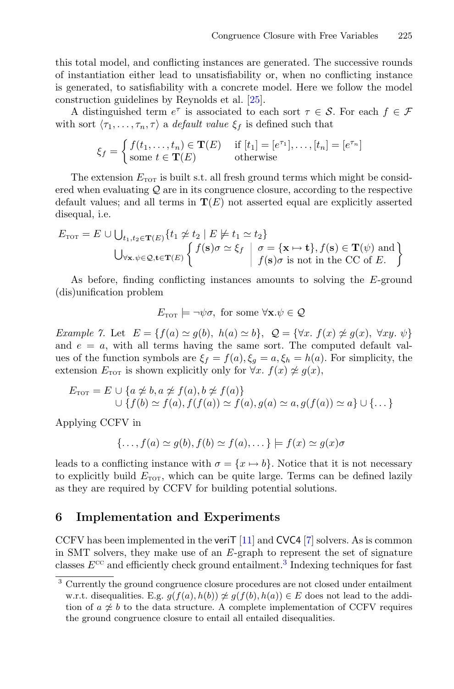this total model, and conflicting instances are generated. The successive rounds of instantiation either lead to unsatisfiability or, when no conflicting instance is generated, to satisfiability with a concrete model. Here we follow the model construction guidelines by Reynolds et al. [\[25\]](#page-16-2).

A distinguished term  $e^{\tau}$  is associated to each sort  $\tau \in \mathcal{S}$ . For each  $f \in \mathcal{F}$ with sort  $\langle \tau_1, \ldots, \tau_n, \tau \rangle$  a *default value*  $\xi_f$  is defined such that

$$
\xi_f = \begin{cases} f(t_1, \dots, t_n) \in \mathbf{T}(E) & \text{if } [t_1] = [e^{\tau_1}], \dots, [t_n] = [e^{\tau_n}] \\ \text{some } t \in \mathbf{T}(E) & \text{otherwise} \end{cases}
$$

The extension  $E_{\text{TOT}}$  is built s.t. all fresh ground terms which might be considered when evaluating  $\mathcal Q$  are in its congruence closure, according to the respective default values; and all terms in  $T(E)$  not asserted equal are explicitly asserted disequal, i.e.

$$
E_{\text{TOT}} = E \cup \bigcup_{t_1, t_2 \in \mathbf{T}(E)} \{ t_1 \not\approx t_2 \mid E \not\models t_1 \simeq t_2 \}
$$
  

$$
\bigcup_{\forall \mathbf{x}, \psi \in \mathcal{Q}, \mathbf{t} \in \mathbf{T}(E)} \left\{ \begin{array}{l} f(\mathbf{s})\sigma \simeq \xi_f \mid \sigma = \{\mathbf{x} \mapsto \mathbf{t}\}, f(\mathbf{s}) \in \mathbf{T}(\psi) \text{ and} \\ f(\mathbf{s})\sigma \text{ is not in the CC of } E. \end{array} \right\}
$$

As before, finding conflicting instances amounts to solving the E-ground (dis)unification problem

$$
E_{\text{TOT}} \models \neg \psi \sigma, \text{ for some } \forall \mathbf{x}.\psi \in \mathcal{Q}
$$

*Example 7.* Let  $E = \{f(a) \simeq g(b), h(a) \simeq b\}, Q = \{\forall x. f(x) \not\cong g(x), \forall xy. \psi\}$ and  $e = a$ , with all terms having the same sort. The computed default values of the function symbols are  $\xi_f = f(a), \xi_g = a, \xi_h = h(a)$ . For simplicity, the extension  $E_{\text{TOT}}$  is shown explicitly only for  $\forall x. f(x) \not\approx g(x)$ ,

$$
E_{\text{TOT}} = E \cup \{a \not\approx b, a \not\approx f(a), b \not\approx f(a)\}
$$
  

$$
\cup \{f(b) \simeq f(a), f(f(a)) \simeq f(a), g(a) \simeq a, g(f(a)) \simeq a\} \cup \{\dots\}
$$

Applying CCFV in

$$
\{\ldots, f(a) \simeq g(b), f(b) \simeq f(a), \ldots\} \models f(x) \simeq g(x)\sigma
$$

leads to a conflicting instance with  $\sigma = \{x \mapsto b\}$ . Notice that it is not necessary to explicitly build  $E_{\text{TOT}}$ , which can be quite large. Terms can be defined lazily as they are required by CCFV for building potential solutions.

#### **6 Implementation and Experiments**

CCFV has been implemented in the veriT  $[11]$  $[11]$  and CVC4  $[7]$  $[7]$  solvers. As is common in SMT solvers, they make use of an *E*-graph to represent the set of signature classes  $E^{cc}$  and efficiently check ground entailment.<sup>[3](#page-11-0)</sup> Indexing techniques for fast

<span id="page-11-0"></span><sup>3</sup> Currently the ground congruence closure procedures are not closed under entailment w.r.t. disequalities. E.g.  $g(f(a), h(b)) \not\approx g(f(b), h(a)) \in E$  does not lead to the addition of  $a \not\approx b$  to the data structure. A complete implementation of CCFV requires the ground congruence closure to entail all entailed disequalities.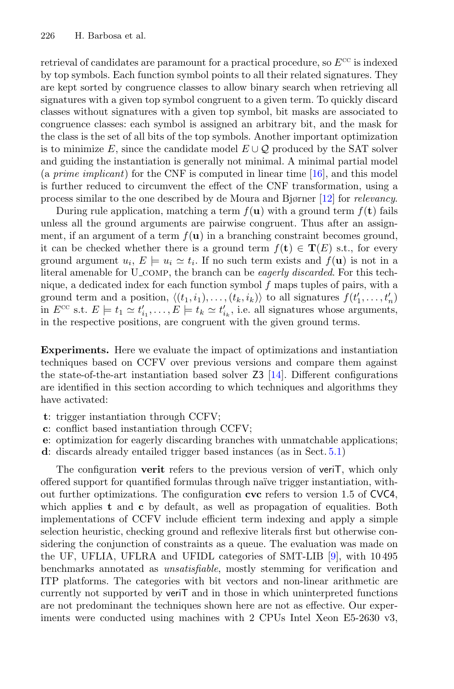retrieval of candidates are paramount for a practical procedure, so  $E^{cc}$  is indexed by top symbols. Each function symbol points to all their related signatures. They are kept sorted by congruence classes to allow binary search when retrieving all signatures with a given top symbol congruent to a given term. To quickly discard classes without signatures with a given top symbol, bit masks are associated to congruence classes: each symbol is assigned an arbitrary bit, and the mask for the class is the set of all bits of the top symbols. Another important optimization is to minimize E, since the candidate model  $E \cup \mathcal{Q}$  produced by the SAT solver and guiding the instantiation is generally not minimal. A minimal partial model (a *prime implicant*) for the CNF is computed in linear time [\[16](#page-15-14)], and this model is further reduced to circumvent the effect of the CNF transformation, using a process similar to the one described by de Moura and Bjørner [\[12\]](#page-15-2) for *relevancy*.

During rule application, matching a term  $f(\mathbf{u})$  with a ground term  $f(\mathbf{t})$  fails unless all the ground arguments are pairwise congruent. Thus after an assignment, if an argument of a term  $f(\mathbf{u})$  in a branching constraint becomes ground, it can be checked whether there is a ground term  $f(\mathbf{t}) \in \mathbf{T}(E)$  s.t., for every ground argument  $u_i, E \models u_i \simeq t_i$ . If no such term exists and  $f(\mathbf{u})$  is not in a literal amenable for U comp, the branch can be *eagerly discarded*. For this technique, a dedicated index for each function symbol  $f$  maps tuples of pairs, with a ground term and a position,  $\langle (t_1, i_1), \ldots, (t_k, i_k) \rangle$  to all signatures  $f(t'_1, \ldots, t'_n)$ <br>in  $E^{CC}$  s  $t E \vdash t$ ,  $\sim t'$ ,  $E \vdash t$ ,  $\sim t'$ , i.e. all signatures whose arguments in  $E^{cc}$  s.t.  $E \models t_1 \simeq t'_{i_1}, \ldots, E \models t_k \simeq t'_{i_k}$ , i.e. all signatures whose arguments, in the respective positions, are congruent with the given ground terms.

**Experiments.** Here we evaluate the impact of optimizations and instantiation techniques based on CCFV over previous versions and compare them against the state-of-the-art instantiation based solver  $Z3$  [\[14](#page-15-15)]. Different configurations are identified in this section according to which techniques and algorithms they have activated:

- **t**: trigger instantiation through CCFV;
- **c**: conflict based instantiation through CCFV;
- **e**: optimization for eagerly discarding branches with unmatchable applications;
- **d**: discards already entailed trigger based instances (as in Sect. [5.1\)](#page-9-3)

The configuration **verit** refers to the previous version of veriT, which only offered support for quantified formulas through na¨ıve trigger instantiation, without further optimizations. The configuration **cvc** refers to version 1.5 of CVC4, which applies **t** and **c** by default, as well as propagation of equalities. Both implementations of CCFV include efficient term indexing and apply a simple selection heuristic, checking ground and reflexive literals first but otherwise considering the conjunction of constraints as a queue. The evaluation was made on the UF, UFLIA, UFLRA and UFIDL categories of SMT-LIB [\[9](#page-15-16)], with 10 495 benchmarks annotated as *unsatisfiable*, mostly stemming for verification and ITP platforms. The categories with bit vectors and non-linear arithmetic are currently not supported by veriT and in those in which uninterpreted functions are not predominant the techniques shown here are not as effective. Our experiments were conducted using machines with 2 CPUs Intel Xeon E5-2630 v3,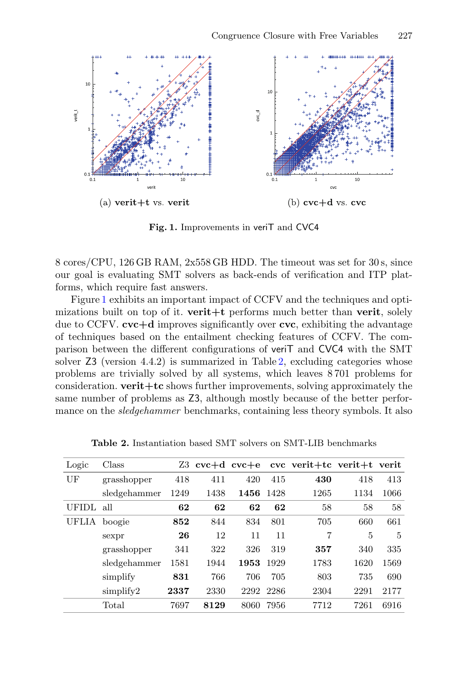

<span id="page-13-0"></span>**Fig. 1.** Improvements in veriT and CVC4

8 cores/CPU, 126 GB RAM, 2x558 GB HDD. The timeout was set for 30 s, since our goal is evaluating SMT solvers as back-ends of verification and ITP platforms, which require fast answers.

Figure [1](#page-13-0) exhibits an important impact of CCFV and the techniques and optimizations built on top of it. **verit+t** performs much better than **verit**, solely due to CCFV. **cvc+d** improves significantly over **cvc**, exhibiting the advantage of techniques based on the entailment checking features of CCFV. The comparison between the different configurations of veriT and CVC4 with the SMT solver Z3 (version 4.4.2) is summarized in Table [2,](#page-13-1) excluding categories whose problems are trivially solved by all systems, which leaves 8 701 problems for consideration. **verit+tc** shows further improvements, solving approximately the same number of problems as Z3, although mostly because of the better performance on the *sledgehammer* benchmarks, containing less theory symbols. It also

<span id="page-13-1"></span>

| Logic  | Class        | Z3 - |      |      |      | $cvc+d$ cvc+e cvc verit+tc verit+t verit |      |      |
|--------|--------------|------|------|------|------|------------------------------------------|------|------|
| UF     | grasshopper  | 418  | 411  | 420  | 415  | 430                                      | 418  | 413  |
|        | sledgehammer | 1249 | 1438 | 1456 | 1428 | 1265                                     | 1134 | 1066 |
| UFIDL. | all          | 62   | 62   | 62   | 62   | 58                                       | 58   | 58   |
| UFLIA  | boogie       | 852  | 844  | 834  | 801  | 705                                      | 660  | 661  |
|        | sexpr        | 26   | 12   | 11   | 11   | $\overline{7}$                           | 5    | 5    |
|        | grasshopper  | 341  | 322  | 326  | 319  | 357                                      | 340  | 335  |
|        | sledgehammer | 1581 | 1944 | 1953 | 1929 | 1783                                     | 1620 | 1569 |
|        | simplify     | 831  | 766  | 706  | 705  | 803                                      | 735  | 690  |
|        | simplify2    | 2337 | 2330 | 2292 | 2286 | 2304                                     | 2291 | 2177 |
|        | Total        | 7697 | 8129 | 8060 | 7956 | 7712                                     | 7261 | 6916 |

**Table 2.** Instantiation based SMT solvers on SMT-LIB benchmarks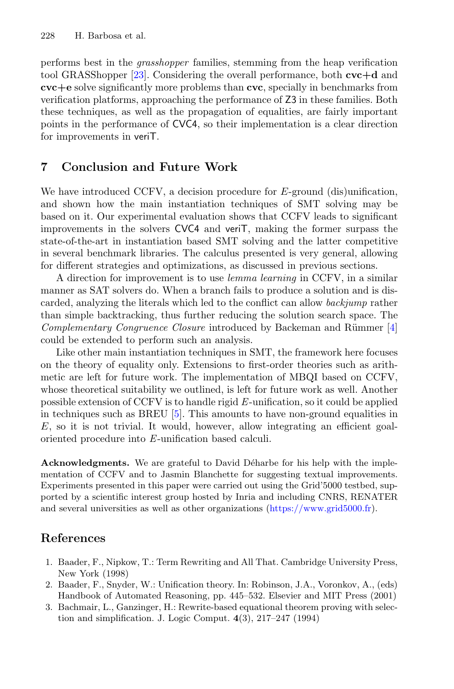performs best in the *grasshopper* families, stemming from the heap verification tool GRASShopper [\[23](#page-16-5)]. Considering the overall performance, both **cvc+d** and **cvc+e** solve significantly more problems than **cvc**, specially in benchmarks from verification platforms, approaching the performance of Z3 in these families. Both these techniques, as well as the propagation of equalities, are fairly important points in the performance of CVC4, so their implementation is a clear direction for improvements in veriT.

#### **7 Conclusion and Future Work**

We have introduced CCFV, a decision procedure for E-ground (dis)unification, and shown how the main instantiation techniques of SMT solving may be based on it. Our experimental evaluation shows that CCFV leads to significant improvements in the solvers CVC4 and veriT, making the former surpass the state-of-the-art in instantiation based SMT solving and the latter competitive in several benchmark libraries. The calculus presented is very general, allowing for different strategies and optimizations, as discussed in previous sections.

A direction for improvement is to use *lemma learning* in CCFV, in a similar manner as SAT solvers do. When a branch fails to produce a solution and is discarded, analyzing the literals which led to the conflict can allow *backjump* rather than simple backtracking, thus further reducing the solution search space. The *Complementary Congruence Closure* introduced by Backeman and Rümmer [\[4](#page-15-17)] could be extended to perform such an analysis.

Like other main instantiation techniques in SMT, the framework here focuses on the theory of equality only. Extensions to first-order theories such as arithmetic are left for future work. The implementation of MBQI based on CCFV, whose theoretical suitability we outlined, is left for future work as well. Another possible extension of CCFV is to handle rigid *E*-unification, so it could be applied in techniques such as BREU  $[5]$ . This amounts to have non-ground equalities in  $E$ , so it is not trivial. It would, however, allow integrating an efficient goaloriented procedure into *E*-unification based calculi.

**Acknowledgments.** We are grateful to David Déharbe for his help with the implementation of CCFV and to Jasmin Blanchette for suggesting textual improvements. Experiments presented in this paper were carried out using the Grid'5000 testbed, supported by a scientific interest group hosted by Inria and including CNRS, RENATER and several universities as well as other organizations [\(https://www.grid5000.fr\)](https://www.grid5000.fr).

## <span id="page-14-1"></span>**References**

- 1. Baader, F., Nipkow, T.: Term Rewriting and All That. Cambridge University Press, New York (1998)
- <span id="page-14-2"></span>2. Baader, F., Snyder, W.: Unification theory. In: Robinson, J.A., Voronkov, A., (eds) Handbook of Automated Reasoning, pp. 445–532. Elsevier and MIT Press (2001)
- <span id="page-14-0"></span>3. Bachmair, L., Ganzinger, H.: Rewrite-based equational theorem proving with selection and simplification. J. Logic Comput. **4**(3), 217–247 (1994)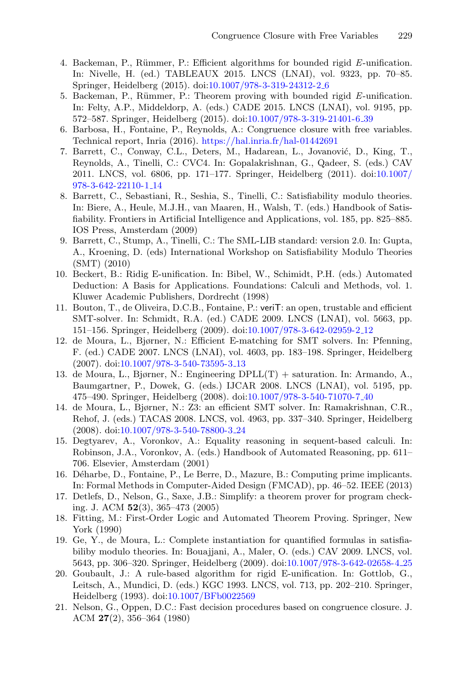- <span id="page-15-17"></span>4. Backeman, P., Rümmer, P.: Efficient algorithms for bounded rigid *E*-unification. In: Nivelle, H. (ed.) TABLEAUX 2015. LNCS (LNAI), vol. 9323, pp. 70–85. Springer, Heidelberg (2015). doi[:10.1007/978-3-319-24312-2](http://dx.doi.org/10.1007/978-3-319-24312-2_6) 6
- <span id="page-15-6"></span>5. Backeman, P., Rümmer, P.: Theorem proving with bounded rigid *E*-unification. In: Felty, A.P., Middeldorp, A. (eds.) CADE 2015. LNCS (LNAI), vol. 9195, pp. 572–587. Springer, Heidelberg (2015). doi[:10.1007/978-3-319-21401-6](http://dx.doi.org/10.1007/978-3-319-21401-6_39) 39
- <span id="page-15-9"></span>6. Barbosa, H., Fontaine, P., Reynolds, A.: Congruence closure with free variables. Technical report, Inria (2016). <https://hal.inria.fr/hal-01442691>
- <span id="page-15-13"></span>7. Barrett, C., Conway, C.L., Deters, M., Hadarean, L., Jovanović, D., King, T., Reynolds, A., Tinelli, C.: CVC4. In: Gopalakrishnan, G., Qadeer, S. (eds.) CAV 2011. LNCS, vol. 6806, pp. 171–177. Springer, Heidelberg (2011). doi[:10.1007/](http://dx.doi.org/10.1007/978-3-642-22110-1_14) [978-3-642-22110-1](http://dx.doi.org/10.1007/978-3-642-22110-1_14) 14
- <span id="page-15-0"></span>8. Barrett, C., Sebastiani, R., Seshia, S., Tinelli, C.: Satisfiability modulo theories. In: Biere, A., Heule, M.J.H., van Maaren, H., Walsh, T. (eds.) Handbook of Satisfiability. Frontiers in Artificial Intelligence and Applications, vol. 185, pp. 825–885. IOS Press, Amsterdam (2009)
- <span id="page-15-16"></span>9. Barrett, C., Stump, A., Tinelli, C.: The SML-LIB standard: version 2.0. In: Gupta, A., Kroening, D. (eds) International Workshop on Satisfiability Modulo Theories (SMT) (2010)
- <span id="page-15-10"></span>10. Beckert, B.: Ridig E-unification. In: Bibel, W., Schimidt, P.H. (eds.) Automated Deduction: A Basis for Applications. Foundations: Calculi and Methods, vol. 1. Kluwer Academic Publishers, Dordrecht (1998)
- <span id="page-15-12"></span>11. Bouton, T., de Oliveira, D.C.B., Fontaine, P.: veriT: an open, trustable and efficient SMT-solver. In: Schmidt, R.A. (ed.) CADE 2009. LNCS (LNAI), vol. 5663, pp. 151–156. Springer, Heidelberg (2009). doi[:10.1007/978-3-642-02959-2](http://dx.doi.org/10.1007/978-3-642-02959-2_12) 12
- <span id="page-15-2"></span>12. de Moura, L., Bjørner, N.: Efficient E-matching for SMT solvers. In: Pfenning, F. (ed.) CADE 2007. LNCS (LNAI), vol. 4603, pp. 183–198. Springer, Heidelberg (2007). doi[:10.1007/978-3-540-73595-3](http://dx.doi.org/10.1007/978-3-540-73595-3_13) 13
- <span id="page-15-1"></span>13. de Moura, L., Bjørner, N.: Engineering DPLL(T) + saturation. In: Armando, A., Baumgartner, P., Dowek, G. (eds.) IJCAR 2008. LNCS (LNAI), vol. 5195, pp. 475–490. Springer, Heidelberg (2008). doi[:10.1007/978-3-540-71070-7](http://dx.doi.org/10.1007/978-3-540-71070-7_40) 40
- <span id="page-15-15"></span>14. de Moura, L., Bjørner, N.: Z3: an efficient SMT solver. In: Ramakrishnan, C.R., Rehof, J. (eds.) TACAS 2008. LNCS, vol. 4963, pp. 337–340. Springer, Heidelberg (2008). doi[:10.1007/978-3-540-78800-3](http://dx.doi.org/10.1007/978-3-540-78800-3_24) 24
- <span id="page-15-11"></span>15. Degtyarev, A., Voronkov, A.: Equality reasoning in sequent-based calculi. In: Robinson, J.A., Voronkov, A. (eds.) Handbook of Automated Reasoning, pp. 611– 706. Elsevier, Amsterdam (2001)
- <span id="page-15-14"></span>16. D´eharbe, D., Fontaine, P., Le Berre, D., Mazure, B.: Computing prime implicants. In: Formal Methods in Computer-Aided Design (FMCAD), pp. 46–52. IEEE (2013)
- <span id="page-15-3"></span>17. Detlefs, D., Nelson, G., Saxe, J.B.: Simplify: a theorem prover for program checking. J. ACM **52**(3), 365–473 (2005)
- <span id="page-15-8"></span>18. Fitting, M.: First-Order Logic and Automated Theorem Proving. Springer, New York (1990)
- <span id="page-15-4"></span>19. Ge, Y., de Moura, L.: Complete instantiation for quantified formulas in satisfiabiliby modulo theories. In: Bouajjani, A., Maler, O. (eds.) CAV 2009. LNCS, vol. 5643, pp. 306–320. Springer, Heidelberg (2009). doi[:10.1007/978-3-642-02658-4](http://dx.doi.org/10.1007/978-3-642-02658-4_25) 25
- <span id="page-15-7"></span>20. Goubault, J.: A rule-based algorithm for rigid E-unification. In: Gottlob, G., Leitsch, A., Mundici, D. (eds.) KGC 1993. LNCS, vol. 713, pp. 202–210. Springer, Heidelberg (1993). doi[:10.1007/BFb0022569](http://dx.doi.org/10.1007/BFb0022569)
- <span id="page-15-5"></span>21. Nelson, G., Oppen, D.C.: Fast decision procedures based on congruence closure. J. ACM **27**(2), 356–364 (1980)